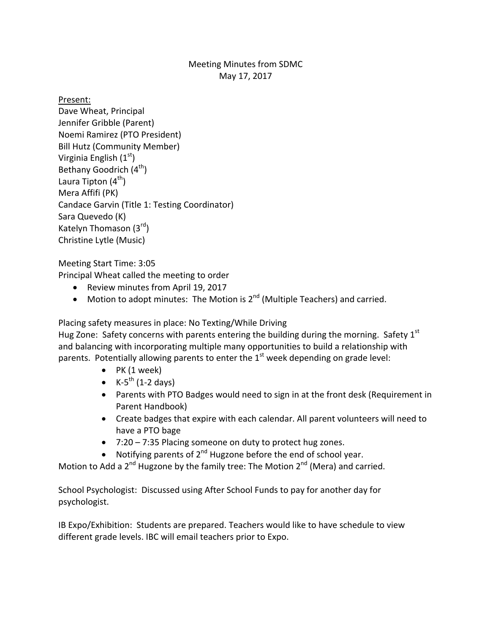## Meeting Minutes from SDMC May 17, 2017

Present:

Dave Wheat, Principal Jennifer Gribble (Parent) Noemi Ramirez (PTO President) Bill Hutz (Community Member) Virginia English  $(1<sup>st</sup>)$ Bethany Goodrich  $(4^{th})$ Laura Tipton  $(4^{th})$ Mera Affifi (PK) Candace Garvin (Title 1: Testing Coordinator) Sara Quevedo (K) Katelyn Thomason  $(3<sup>rd</sup>)$ Christine Lytle (Music)

Meeting Start Time: 3:05

Principal Wheat called the meeting to order

- Review minutes from April 19, 2017
- Motion to adopt minutes: The Motion is  $2^{nd}$  (Multiple Teachers) and carried.

Placing safety measures in place: No Texting/While Driving

Hug Zone: Safety concerns with parents entering the building during the morning. Safety  $1<sup>st</sup>$ and balancing with incorporating multiple many opportunities to build a relationship with parents. Potentially allowing parents to enter the  $1<sup>st</sup>$  week depending on grade level:

- $\bullet$  PK (1 week)
- K-5<sup>th</sup> (1-2 days)
- Parents with PTO Badges would need to sign in at the front desk (Requirement in Parent Handbook)
- Create badges that expire with each calendar. All parent volunteers will need to have a PTO bage
- 7:20 7:35 Placing someone on duty to protect hug zones.
- Notifying parents of  $2^{nd}$  Hugzone before the end of school year.

Motion to Add a  $2^{nd}$  Hugzone by the family tree: The Motion  $2^{nd}$  (Mera) and carried.

School Psychologist: Discussed using After School Funds to pay for another day for psychologist. 

IB Expo/Exhibition: Students are prepared. Teachers would like to have schedule to view different grade levels. IBC will email teachers prior to Expo.